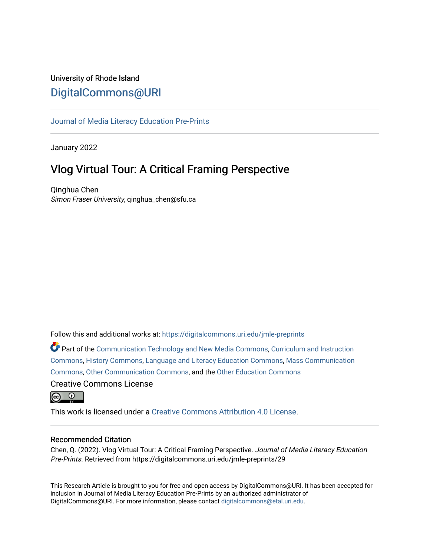## University of Rhode Island [DigitalCommons@URI](https://digitalcommons.uri.edu/)

## [Journal of Media Literacy Education Pre-Prints](https://digitalcommons.uri.edu/jmle-preprints)

January 2022

# Vlog Virtual Tour: A Critical Framing Perspective

Qinghua Chen Simon Fraser University, qinghua\_chen@sfu.ca

Follow this and additional works at: [https://digitalcommons.uri.edu/jmle-preprints](https://digitalcommons.uri.edu/jmle-preprints?utm_source=digitalcommons.uri.edu%2Fjmle-preprints%2F29&utm_medium=PDF&utm_campaign=PDFCoverPages) 

Part of the [Communication Technology and New Media Commons,](http://network.bepress.com/hgg/discipline/327?utm_source=digitalcommons.uri.edu%2Fjmle-preprints%2F29&utm_medium=PDF&utm_campaign=PDFCoverPages) [Curriculum and Instruction](http://network.bepress.com/hgg/discipline/786?utm_source=digitalcommons.uri.edu%2Fjmle-preprints%2F29&utm_medium=PDF&utm_campaign=PDFCoverPages) [Commons](http://network.bepress.com/hgg/discipline/786?utm_source=digitalcommons.uri.edu%2Fjmle-preprints%2F29&utm_medium=PDF&utm_campaign=PDFCoverPages), [History Commons,](http://network.bepress.com/hgg/discipline/489?utm_source=digitalcommons.uri.edu%2Fjmle-preprints%2F29&utm_medium=PDF&utm_campaign=PDFCoverPages) [Language and Literacy Education Commons](http://network.bepress.com/hgg/discipline/1380?utm_source=digitalcommons.uri.edu%2Fjmle-preprints%2F29&utm_medium=PDF&utm_campaign=PDFCoverPages), [Mass Communication](http://network.bepress.com/hgg/discipline/334?utm_source=digitalcommons.uri.edu%2Fjmle-preprints%2F29&utm_medium=PDF&utm_campaign=PDFCoverPages) [Commons](http://network.bepress.com/hgg/discipline/334?utm_source=digitalcommons.uri.edu%2Fjmle-preprints%2F29&utm_medium=PDF&utm_campaign=PDFCoverPages), [Other Communication Commons,](http://network.bepress.com/hgg/discipline/339?utm_source=digitalcommons.uri.edu%2Fjmle-preprints%2F29&utm_medium=PDF&utm_campaign=PDFCoverPages) and the [Other Education Commons](http://network.bepress.com/hgg/discipline/811?utm_source=digitalcommons.uri.edu%2Fjmle-preprints%2F29&utm_medium=PDF&utm_campaign=PDFCoverPages)  Creative Commons License

 $\odot$   $\odot$ 

This work is licensed under a [Creative Commons Attribution 4.0 License](https://creativecommons.org/licenses/by/4.0/).

#### Recommended Citation

Chen, Q. (2022). Vlog Virtual Tour: A Critical Framing Perspective. Journal of Media Literacy Education Pre-Prints. Retrieved from https://digitalcommons.uri.edu/jmle-preprints/29

This Research Article is brought to you for free and open access by DigitalCommons@URI. It has been accepted for inclusion in Journal of Media Literacy Education Pre-Prints by an authorized administrator of DigitalCommons@URI. For more information, please contact [digitalcommons@etal.uri.edu.](mailto:digitalcommons@etal.uri.edu)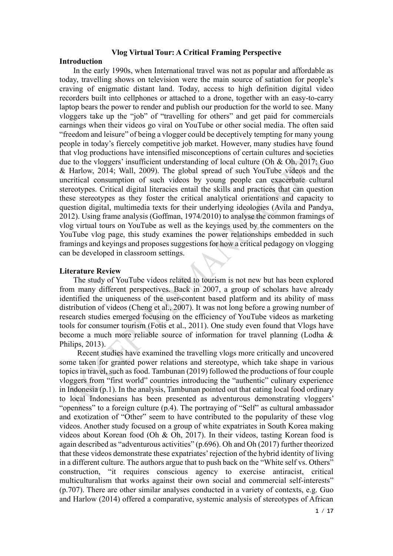### **Vlog Virtual Tour: A Critical Framing Perspective**

## **Introduction**

In the early 1990s, when International travel was not as popular and affordable as today, travelling shows on television were the main source of satiation for people's craving of enigmatic distant land. Today, access to high definition digital video recorders built into cellphones or attached to a drone, together with an easy-to-carry laptop bears the power to render and publish our production for the world to see. Many vloggers take up the "job" of "travelling for others" and get paid for commercials earnings when their videos go viral on YouTube or other social media. The often said "freedom and leisure" of being a vlogger could be deceptively tempting for many young people in today's fiercely competitive job market. However, many studies have found that vlog productions have intensified misconceptions of certain cultures and societies due to the vloggers' insufficient understanding of local culture (Oh & Oh, 2017; Guo & Harlow, 2014; Wall, 2009). The global spread of such YouTube videos and the uncritical consumption of such videos by young people can exacerbate cultural stereotypes. Critical digital literacies entail the skills and practices that can question these stereotypes as they foster the critical analytical orientations and capacity to question digital, multimedia texts for their underlying ideologies (Avila and Pandya, 2012). Using frame analysis (Goffman, 1974/2010) to analyse the common framings of vlog virtual tours on YouTube as well as the keyings used by the commenters on the YouTube vlog page, this study examines the power relationships embedded in such framings and keyings and proposes suggestions for how a critical pedagogy on vlogging can be developed in classroom settings.

## **Literature Review**

The study of YouTube videos related to tourism is not new but has been explored from many different perspectives. Back in 2007, a group of scholars have already identified the uniqueness of the user-content based platform and its ability of mass distribution of videos (Cheng et al., 2007). It was not long before a growing number of research studies emerged focusing on the efficiency of YouTube videos as marketing tools for consumer tourism (Fotis et al., 2011). One study even found that Vlogs have become a much more reliable source of information for travel planning (Lodha & Philips, 2013).

Recent studies have examined the travelling vlogs more critically and uncovered some taken for granted power relations and stereotype, which take shape in various topics in travel, such as food. Tambunan (2019) followed the productions of four couple vloggers from "first world" countries introducing the "authentic" culinary experience in Indonesia (p.1). In the analysis, Tambunan pointed out that eating local food ordinary to local Indonesians has been presented as adventurous demonstrating vloggers' "openness" to a foreign culture (p.4). The portraying of "Self" as cultural ambassador and exotization of "Other" seem to have contributed to the popularity of these vlog videos. Another study focused on a group of white expatriates in South Korea making videos about Korean food (Oh & Oh, 2017). In their videos, tasting Korean food is again described as "adventurous activities" (p.696). Oh and Oh (2017) further theorized that these videos demonstrate these expatriates' rejection of the hybrid identity of living in a different culture. The authors argue that to push back on the "White self vs. Others" construction, "it requires conscious agency to exercise antiracist, critical multiculturalism that works against their own social and commercial self-interests" (p.707). There are other similar analyses conducted in a variety of contexts, e.g. Guo and Harlow (2014) offered a comparative, systemic analysis of stereotypes of African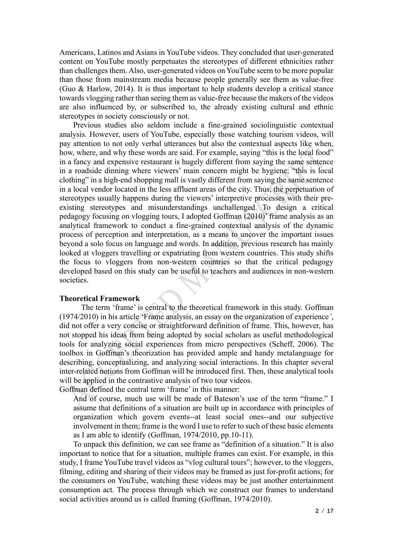Americans, Latinos and Asians in YouTube videos. They concluded that user-generated content on YouTube mostly perpetuates the stereotypes of different ethnicities rather than challenges them. Also, user-generated videos on YouTube seem to be more popular than those from mainstream media because people generally see them as value-free (Guo & Harlow, 2014). It is thus important to help students develop a critical stance towards vlogging rather than seeing them as value-free because the makers of the videos are also influenced by, or subscribed to, the already existing cultural and ethnic stereotypes in society consciously or not.

Previous studies also seldom include a fine-grained sociolinguistic contextual analysis. However, users of YouTube, especially those watching tourism videos, will pay attention to not only verbal utterances but also the contextual aspects like when, how, where, and why these words are said. For example, saying "this is the local food" in a fancy and expensive restaurant is hugely different from saying the same sentence in a roadside dinning where viewers' main concern might be hygiene; "this is local clothing" in a high-end shopping mall is vastly different from saying the same sentence in a local vendor located in the less affluent areas of the city. Thus, the perpetuation of stereotypes usually happens during the viewers' interpretive processes with their preexisting stereotypes and misunderstandings unchallenged. To design a critical pedagogy focusing on vlogging tours, I adopted Goffman (2010)' frame analysis as an analytical framework to conduct a fine-grained contextual analysis of the dynamic process of perception and interpretation, as a means to uncover the important issues beyond a solo focus on language and words. In addition, previous research has mainly looked at vloggers travelling or expatriating from western countries. This study shifts the focus to vloggers from non-western countries so that the critical pedagogy developed based on this study can be useful to teachers and audiences in non-western societies.

#### **Theoretical Framework**

 The term 'frame' is central to the theoretical framework in this study. Goffman (1974/2010) in his article 'Frame analysis, an essay on the organization of experience*'*, did not offer a very concise or straightforward definition of frame. This, however, has not stopped his ideas from being adopted by social scholars as useful methodological tools for analyzing social experiences from micro perspectives (Scheff, 2006). The toolbox in Goffman's theorization has provided ample and handy metalanguage for describing, conceptualizing, and analyzing social interactions. In this chapter several inter-related notions from Goffman will be introduced first. Then, these analytical tools will be applied in the contrastive analysis of two tour videos.

Goffman defined the central term 'frame' in this manner:

And of course, much use will be made of Bateson's use of the term "frame." I assume that definitions of a situation are built up in accordance with principles of organization which govern events--at least social ones--and our subjective involvement in them; frame is the word I use to refer to such of these basic elements as I am able to identify (Goffman, 1974/2010, pp.10-11).

To unpack this definition, we can see frame as "definition of a situation." It is also important to notice that for a situation, multiple frames can exist. For example, in this study, I frame YouTube travel videos as "vlog cultural tours"; however, to the vloggers, filming, editing and sharing of their videos may be framed as just for-profit actions; for the consumers on YouTube, watching these videos may be just another entertainment consumption act. The process through which we construct our frames to understand social activities around us is called framing (Goffman, 1974/2010).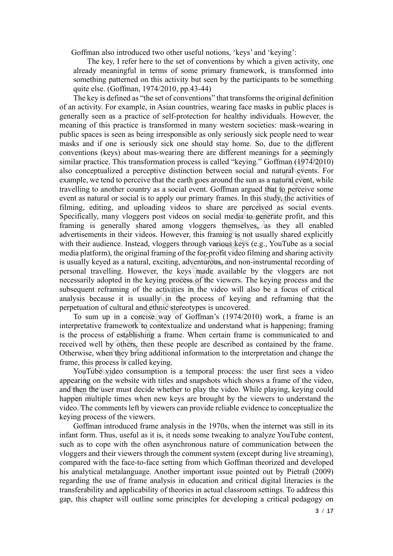Goffman also introduced two other useful notions, 'keys' and 'keying':

The key, I refer here to the set of conventions by which a given activity, one already meaningful in terms of some primary framework, is transformed into something patterned on this activity but seen by the participants to be something quite else. (Goffman, 1974/2010, pp.43-44)

The key is defined as "the set of conventions" that transforms the original definition of an activity. For example, in Asian countries, wearing face masks in public places is generally seen as a practice of self-protection for healthy individuals. However, the meaning of this practice is transformed in many western societies: mask-wearing in public spaces is seen as being irresponsible as only seriously sick people need to wear masks and if one is seriously sick one should stay home. So, due to the different conventions (keys) about mas-wearing there are different meanings for a seemingly similar practice. This transformation process is called "keying." Goffman (1974/2010) also conceptualized a perceptive distinction between social and natural events. For example, we tend to perceive that the earth goes around the sun as a natural event, while travelling to another country as a social event. Goffman argued that to perceive some event as natural or social is to apply our primary frames. In this study, the activities of filming, editing, and uploading videos to share are perceived as social events. Specifically, many vloggers post videos on social media to generate profit, and this framing is generally shared among vloggers themselves, as they all enabled advertisements in their videos. However, this framing is not usually shared explicitly with their audience. Instead, vloggers through various keys (e.g., YouTube as a social media platform), the original framing of the for-profit video filming and sharing activity is usually keyed as a natural, exciting, adventurous, and non-instrumental recording of personal travelling. However, the keys made available by the vloggers are not necessarily adopted in the keying process of the viewers. The keying process and the subsequent reframing of the activities in the video will also be a focus of critical analysis because it is usually in the process of keying and reframing that the perpetuation of cultural and ethnic stereotypes is uncovered.

To sum up in a concise way of Goffman's (1974/2010) work, a frame is an interpretative framework to contextualize and understand what is happening; framing is the process of establishing a frame. When certain frame is communicated to and received well by others, then these people are described as contained by the frame. Otherwise, when they bring additional information to the interpretation and change the frame, this process is called keying.

YouTube video consumption is a temporal process: the user first sees a video appearing on the website with titles and snapshots which shows a frame of the video, and then the user must decide whether to play the video. While playing, keying could happen multiple times when new keys are brought by the viewers to understand the video. The comments left by viewers can provide reliable evidence to conceptualize the keying process of the viewers.

Goffman introduced frame analysis in the 1970s, when the internet was still in its infant form. Thus, useful as it is, it needs some tweaking to analyze YouTube content, such as to cope with the often asynchronous nature of communication between the vloggers and their viewers through the comment system (except during live streaming), compared with the face-to-face setting from which Goffman theorized and developed his analytical metalanguage. Another important issue pointed out by Pietraß (2009) regarding the use of frame analysis in education and critical digital literacies is the transferability and applicability of theories in actual classroom settings. To address this gap, this chapter will outline some principles for developing a critical pedagogy on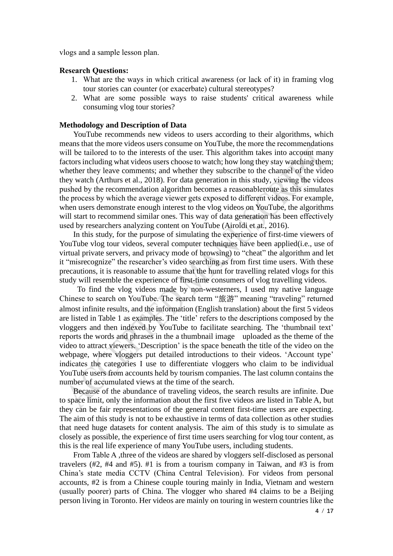vlogs and a sample lesson plan.

#### **Research Questions:**

- 1. What are the ways in which critical awareness (or lack of it) in framing vlog tour stories can counter (or exacerbate) cultural stereotypes?
- 2. What are some possible ways to raise students' critical awareness while consuming vlog tour stories?

#### **Methodology and Description of Data**

YouTube recommends new videos to users according to their algorithms, which means that the more videos users consume on YouTube, the more the recommendations will be tailored to to the interests of the user. This algorithm takes into account many factors including what videos users choose to watch; how long they stay watching them; whether they leave comments; and whether they subscribe to the channel of the video they watch (Arthurs et al., 2018). For data generation in this study, viewing the videos pushed by the recommendation algorithm becomes a reasonableroute as this simulates the process by which the average viewer gets exposed to different videos. For example, when users demonstrate enough interest to the vlog videos on YouTube, the algorithms will start to recommend similar ones. This way of data generation has been effectively used by researchers analyzing content on YouTube (Airoldi et at., 2016).

In this study, for the purpose of simulating the experience of first-time viewers of YouTube vlog tour videos, several computer techniques have been applied(*i.e.*, use of virtual private servers, and privacy mode of browsing) to "cheat" the algorithm and let it "misrecognize" the researcher's video searching as from first time users. With these precautions, it is reasonable to assume that the hunt for travelling related vlogs for this study will resemble the experience of first-time consumers of vlog travelling videos.

To find the vlog videos made by non-westerners, I used my native language Chinese to search on YouTube. The search term "旅游" meaning "traveling" returned almost infinite results, and the information (English translation) about the first 5 videos are listed in Table 1 as examples. The 'title' refers to the descriptions composed by the vloggers and then indexed by YouTube to facilitate searching. The 'thumbnail text' reports the words and phrases in the a thumbnail image uploaded as the theme of the video to attract viewers. 'Description' is the space beneath the title of the video on the webpage, where vloggers put detailed introductions to their videos. 'Account type' indicates the categories I use to differentiate vloggers who claim to be individual YouTube users from accounts held by tourism companies. The last column contains the number of accumulated views at the time of the search.

Because of the abundance of traveling videos, the search results are infinite. Due to space limit, only the information about the first five videos are listed in Table A, but they can be fair representations of the general content first-time users are expecting. The aim of this study is not to be exhaustive in terms of data collection as other studies that need huge datasets for content analysis. The aim of this study is to simulate as closely as possible, the experience of first time users searching for vlog tour content, as this is the real life experience of many YouTube users, including students.

From Table A ,three of the videos are shared by vloggers self-disclosed as personal travelers (#2, #4 and #5). #1 is from a tourism company in Taiwan, and #3 is from China's state media CCTV (China Central Television). For videos from personal accounts, #2 is from a Chinese couple touring mainly in India, Vietnam and western (usually poorer) parts of China. The vlogger who shared #4 claims to be a Beijing person living in Toronto. Her videos are mainly on touring in western countries like the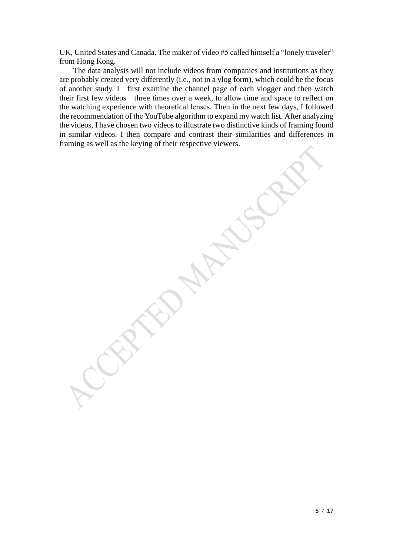UK, United States and Canada. The maker of video #5 called himself a "lonely traveler" from Hong Kong.

The data analysis will not include videos from companies and institutions as they are probably created very differently (i.e., not in a vlog form), which could be the focus of another study. I first examine the channel page of each vlogger and then watch their first few videos three times over a week, to allow time and space to reflect on the watching experience with theoretical lenses. Then in the next few days, I followed the recommendation of the YouTube algorithm to expand my watch list. After analyzing the videos, I have chosen two videos to illustrate two distinctive kinds of framing found in similar videos. I then compare and contrast their similarities and differences in framing as well as the keying of their respective viewers.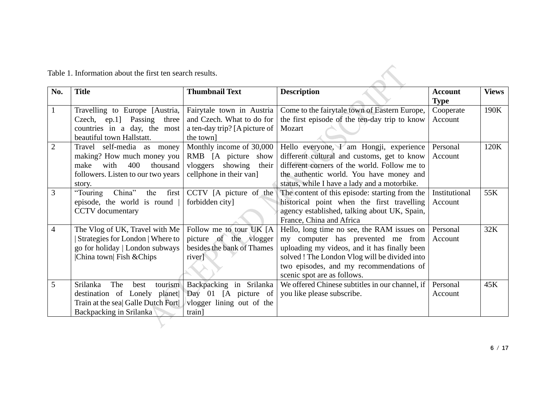| No.            | <b>Title</b>                                                                                                                                | <b>Thumbnail Text</b>                                                                                      | <b>Description</b>                                                                                                                                                                                                                                         | <b>Account</b><br><b>Type</b> | <b>Views</b> |
|----------------|---------------------------------------------------------------------------------------------------------------------------------------------|------------------------------------------------------------------------------------------------------------|------------------------------------------------------------------------------------------------------------------------------------------------------------------------------------------------------------------------------------------------------------|-------------------------------|--------------|
| $\mathbf{1}$   | Travelling to Europe [Austria,<br>Czech, ep.1] Passing<br>three<br>countries in a day, the most<br>beautiful town Hallstatt.                | Fairytale town in Austria<br>and Czech. What to do for<br>a ten-day trip? [A picture of<br>the town]       | Come to the fairytale town of Eastern Europe,<br>the first episode of the ten-day trip to know<br>Mozart                                                                                                                                                   | Cooperate<br>Account          | 190K         |
| $\overline{2}$ | Travel self-media as money<br>making? How much money you<br>make<br>with<br>400<br>thousand<br>followers. Listen to our two years<br>story. | Monthly income of 30,000<br>RMB [A picture<br>show<br>vloggers showing<br>their<br>cellphone in their van] | Hello everyone, I am Hongji, experience<br>different cultural and customs, get to know<br>different corners of the world. Follow me to<br>the authentic world. You have money and<br>status, while I have a lady and a motorbike.                          | Personal<br>Account           | 120K         |
| 3              | "Touring<br>China"<br>the<br>first<br>episode, the world is round<br><b>CCTV</b> documentary                                                | CCTV [A picture of the<br>forbidden city]                                                                  | The content of this episode: starting from the<br>historical point when the first travelling<br>agency established, talking about UK, Spain,<br>France, China and Africa                                                                                   | Institutional<br>Account      | 55K          |
| $\overline{4}$ | The Vlog of UK, Travel with Me<br>Strategies for London   Where to<br>go for holiday   London subways<br>China town Fish & Chips            | Follow me to tour UK [A]<br>picture of the vlogger<br>besides the bank of Thames<br>river]                 | Hello, long time no see, the RAM issues on<br>my computer has prevented me from<br>uploading my videos, and it has finally been<br>solved ! The London Vlog will be divided into<br>two episodes, and my recommendations of<br>scenic spot are as follows. | Personal<br>Account           | 32K          |
| 5              | The<br>Srilanka<br>tourism<br>best<br>destination of Lonely planet<br>Train at the sea  Galle Dutch Fort<br>Backpacking in Srilanka         | Backpacking in Srilanka<br>Day 01 [A picture of<br>vlogger lining out of the<br>train]                     | We offered Chinese subtitles in our channel, if<br>you like please subscribe.                                                                                                                                                                              | Personal<br>Account           | 45K          |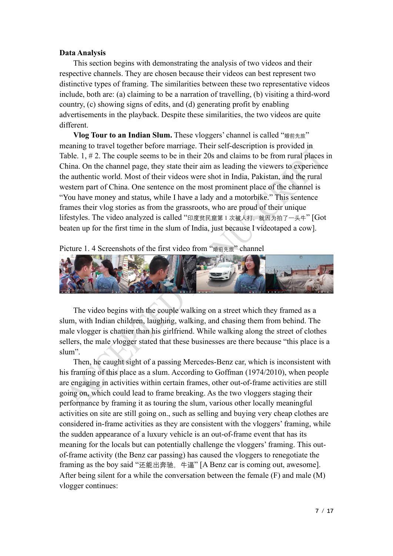## **Data Analysis**

This section begins with demonstrating the analysis of two videos and their respective channels. They are chosen because their videos can best represent two distinctive types of framing. The similarities between these two representative videos include, both are: (a) claiming to be a narration of travelling, (b) visiting a third-word country, (c) showing signs of edits, and (d) generating profit by enabling advertisements in the playback. Despite these similarities, the two videos are quite different.

**Vlog Tour to an Indian Slum.** These vloggers' channel is called "婚前先旅" meaning to travel together before marriage. Their self-description is provided in Table. 1, # 2. The couple seems to be in their 20s and claims to be from rural places in China. On the channel page, they state their aim as leading the viewers to experience the authentic world. Most of their videos were shot in India, Pakistan, and the rural western part of China. One sentence on the most prominent place of the channel is "You have money and status, while I have a lady and a motorbike." This sentence frames their vlog stories as from the grassroots, who are proud of their unique lifestyles. The video analyzed is called "印度贫民窟第1次被人打, 就因为拍了一头牛" [Got beaten up for the first time in the slum of India, just because I videotaped a cow].





The video begins with the couple walking on a street which they framed as a slum, with Indian children, laughing, walking, and chasing them from behind. The male vlogger is chattier than his girlfriend. While walking along the street of clothes sellers, the male vlogger stated that these businesses are there because "this place is a slum".

Then, he caught sight of a passing Mercedes-Benz car, which is inconsistent with his framing of this place as a slum. According to Goffman (1974/2010), when people are engaging in activities within certain frames, other out-of-frame activities are still going on, which could lead to frame breaking. As the two vloggers staging their performance by framing it as touring the slum, various other locally meaningful activities on site are still going on., such as selling and buying very cheap clothes are considered in-frame activities as they are consistent with the vloggers' framing, while the sudden appearance of a luxury vehicle is an out-of-frame event that has its meaning for the locals but can potentially challenge the vloggers' framing. This outof-frame activity (the Benz car passing) has caused the vloggers to renegotiate the framing as the boy said "还能出奔驰, 牛逼" [A Benz car is coming out, awesome]. After being silent for a while the conversation between the female (F) and male (M) vlogger continues: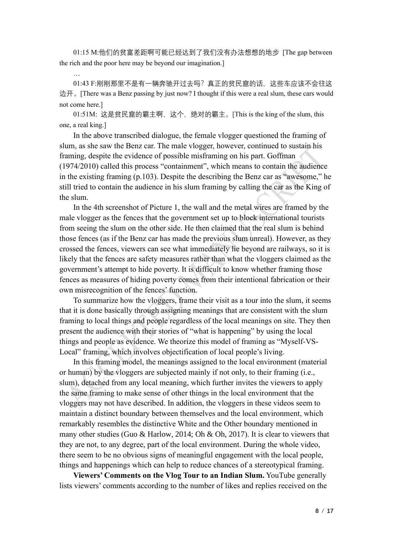01:15 M:他们的贫富差距啊可能已经达到了我们没有办法想想的地步 [The gap between the rich and the poor here may be beyond our imagination.]

…

01:43 F:刚刚那里不是有一辆奔驰开过去吗?真正的贫民窟的话, 这些车应该不会往这 边开。[There was a Benz passing by just now? I thought if this were a real slum, these cars would not come here.]

01:51M: 这是贫民窟的霸主啊,这个,绝对的霸主。[This is the king of the slum, this one, a real king.]

In the above transcribed dialogue, the female vlogger questioned the framing of slum, as she saw the Benz car. The male vlogger, however, continued to sustain his framing, despite the evidence of possible misframing on his part. Goffman (1974/2010) called this process "containment", which means to contain the audience in the existing framing (p.103). Despite the describing the Benz car as "awesome," he still tried to contain the audience in his slum framing by calling the car as the King of the slum.

In the 4th screenshot of Picture 1, the wall and the metal wires are framed by the male vlogger as the fences that the government set up to block international tourists from seeing the slum on the other side. He then claimed that the real slum is behind those fences (as if the Benz car has made the previous slum unreal). However, as they crossed the fences, viewers can see what immediately lie beyond are railways, so it is likely that the fences are safety measures rather than what the vloggers claimed as the government's attempt to hide poverty. It is difficult to know whether framing those fences as measures of hiding poverty comes from their intentional fabrication or their own misrecognition of the fences' function.

To summarize how the vloggers, frame their visit as a tour into the slum, it seems that it is done basically through assigning meanings that are consistent with the slum framing to local things and people regardless of the local meanings on site. They then present the audience with their stories of "what is happening" by using the local things and people as evidence. We theorize this model of framing as "Myself-VS-Local" framing, which involves objectification of local people's living.

In this framing model, the meanings assigned to the local environment (material or human) by the vloggers are subjected mainly if not only, to their framing (i.e., slum), detached from any local meaning, which further invites the viewers to apply the same framing to make sense of other things in the local environment that the vloggers may not have described. In addition, the vloggers in these videos seem to maintain a distinct boundary between themselves and the local environment, which remarkably resembles the distinctive White and the Other boundary mentioned in many other studies (Guo & Harlow, 2014; Oh & Oh, 2017). It is clear to viewers that they are not, to any degree, part of the local environment. During the whole video, there seem to be no obvious signs of meaningful engagement with the local people, things and happenings which can help to reduce chances of a stereotypical framing.

**Viewers' Comments on the Vlog Tour to an Indian Slum.** YouTube generally lists viewers' comments according to the number of likes and replies received on the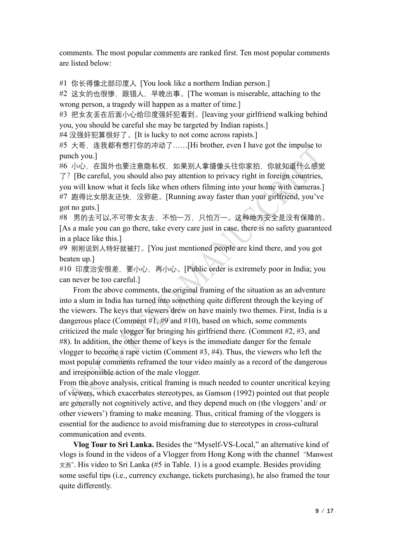comments. The most popular comments are ranked first. Ten most popular comments are listed below:

#1 你长得像北部印度人 [You look like a northern Indian person.]

#2 这女的也很惨, 跟错人, 早晚出事。[The woman is miserable, attaching to the wrong person, a tragedy will happen as a matter of time.]

#3 把女友丢在后面小心给印度强奸犯看到。[leaving your girlfriend walking behind you, you should be careful she may be targeted by Indian rapists.]

#4 没强奸犯算很好了。[It is lucky to not come across rapists.]

#5 大哥,连我都有想打你的冲动了……[Hi brother, even I have got the impulse to punch you.]

#6 小心,在国外也要注意隐私权,如果别人拿摄像头往你家拍,你就知道什么感觉 了?[Be careful, you should also pay attention to privacy right in foreign countries, you will know what it feels like when others filming into your home with cameras.] #7 跑得比女朋友还快, 没卵葩。[Running away faster than your girlfriend, you've got no guts.]

#8 男的去可以,不可带女友去,不怕一万,只怕万一。这种地方安全是没有保障的。 [As a male you can go there, take every care just in case, there is no safety guaranteed in a place like this.]

#9 刚刚说到人特好就被打。[You just mentioned people are kind there, and you got beaten up.]

#10 印度治安很差,要小心,再小心。[Public order is extremely poor in India; you can never be too careful.]

From the above comments, the original framing of the situation as an adventure into a slum in India has turned into something quite different through the keying of the viewers. The keys that viewers drew on have mainly two themes. First, India is a dangerous place (Comment #1, #9 and #10), based on which, some comments criticized the male vlogger for bringing his girlfriend there. (Comment #2, #3, and #8). In addition, the other theme of keys is the immediate danger for the female vlogger to become a rape victim (Comment #3, #4). Thus, the viewers who left the most popular comments reframed the tour video mainly as a record of the dangerous and irresponsible action of the male vlogger.

From the above analysis, critical framing is much needed to counter uncritical keying of viewers, which exacerbates stereotypes, as Gamson (1992) pointed out that people are generally not cognitively active, and they depend much on (the vloggers' and/ or other viewers') framing to make meaning. Thus, critical framing of the vloggers is essential for the audience to avoid misframing due to stereotypes in cross-cultural communication and events.

**Vlog Tour to Sri Lanka.** Besides the "Myself-VS-Local," an alternative kind of vlogs is found in the videos of a Vlogger from Hong Kong with the channel "Manwest 文西". His video to Sri Lanka (#5 in Table. 1) is a good example. Besides providing some useful tips (i.e., currency exchange, tickets purchasing), he also framed the tour quite differently.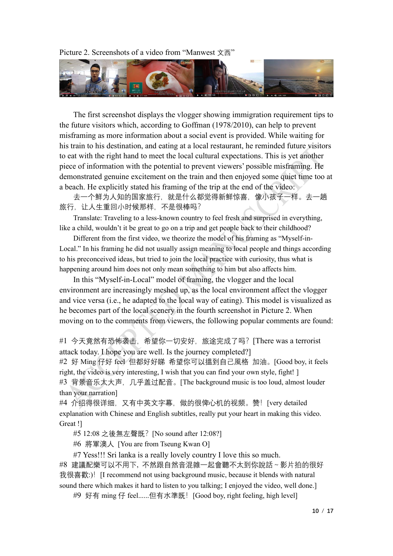#### Picture 2. Screenshots of a video from "Manwest 文西"



The first screenshot displays the vlogger showing immigration requirement tips to the future visitors which, according to Goffman (1978/2010), can help to prevent misframing as more information about a social event is provided. While waiting for his train to his destination, and eating at a local restaurant, he reminded future visitors to eat with the right hand to meet the local cultural expectations. This is yet another piece of information with the potential to prevent viewers' possible misframing. He demonstrated genuine excitement on the train and then enjoyed some quiet time too at a beach. He explicitly stated his framing of the trip at the end of the video:

去一个鲜为人知的国家旅行,就是什么都觉得新鲜惊喜,像小孩子一样。去一趟 旅行,让人生重回小时候那样,不是很棒吗?

Translate: Traveling to a less-known country to feel fresh and surprised in everything, like a child, wouldn't it be great to go on a trip and get people back to their childhood?

Different from the first video, we theorize the model of his framing as "Myself-in-Local." In his framing he did not usually assign meaning to local people and things according to his preconceived ideas, but tried to join the local practice with curiosity, thus what is happening around him does not only mean something to him but also affects him.

In this "Myself-in-Local" model of framing, the vlogger and the local environment are increasingly meshed up, as the local environment affect the vlogger and vice versa (i.e., he adapted to the local way of eating). This model is visualized as he becomes part of the local scenery in the fourth screenshot in Picture 2. When moving on to the comments from viewers, the following popular comments are found:

#1 今天竟然有恐怖袭击,希望你一切安好,旅途完成了吗? [There was a terrorist attack today. I hope you are well. Is the journey completed?]

#2 好 Ming 仔好 feel 但都好好睇 希望你可以搵到自己風格 加油。[Good boy, it feels right, the video is very interesting, I wish that you can find your own style, fight! ] #3 背景音乐太大声,几乎盖过配音。[The background music is too loud, almost louder than your narration]

#4 介绍得很详细, 又有中英文字幕, 做的很俾心机的视频。赞! [very detailed explanation with Chinese and English subtitles, really put your heart in making this video. Great !]

#5 12:08 之後無左聲既?[No sound after 12:08?]

#6 將軍澳人 [You are from Tseung Kwan O]

#7 Yess!!! Sri lanka is a really lovely country I love this so much. #8 建議配樂可以不用下, 不然跟自然音混雜一起會聽不太到你說話~影片拍的很好 我很喜歡:)! [I recommend not using background music, because it blends with natural sound there which makes it hard to listen to you talking; I enjoyed the video, well done.]

#9 好有 ming 仔 feel......但有水準既! [Good boy, right feeling, high level]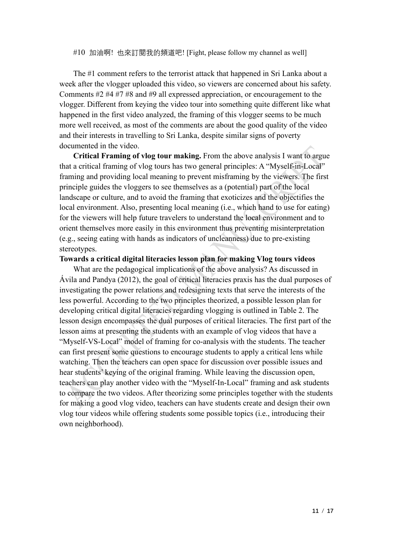#10 加油啊! 也來訂閱我的頻道吧! [Fight, please follow my channel as well]

The #1 comment refers to the terrorist attack that happened in Sri Lanka about a week after the vlogger uploaded this video, so viewers are concerned about his safety. Comments #2 #4 #7 #8 and #9 all expressed appreciation, or encouragement to the vlogger. Different from keying the video tour into something quite different like what happened in the first video analyzed, the framing of this vlogger seems to be much more well received, as most of the comments are about the good quality of the video and their interests in travelling to Sri Lanka, despite similar signs of poverty documented in the video.

**Critical Framing of vlog tour making.** From the above analysis I want to argue that a critical framing of vlog tours has two general principles: A "Myself-in-Local" framing and providing local meaning to prevent misframing by the viewers. The first principle guides the vloggers to see themselves as a (potential) part of the local landscape or culture, and to avoid the framing that exoticizes and the objectifies the local environment. Also, presenting local meaning (i.e., which hand to use for eating) for the viewers will help future travelers to understand the local environment and to orient themselves more easily in this environment thus preventing misinterpretation (e.g., seeing eating with hands as indicators of uncleanness) due to pre-existing stereotypes.

## **Towards a critical digital literacies lesson plan for making Vlog tours videos**

What are the pedagogical implications of the above analysis? As discussed in Ávila and Pandya (2012), the goal of critical literacies praxis has the dual purposes of investigating the power relations and redesigning texts that serve the interests of the less powerful. According to the two principles theorized, a possible lesson plan for developing critical digital literacies regarding vlogging is outlined in Table 2. The lesson design encompasses the dual purposes of critical literacies. The first part of the lesson aims at presenting the students with an example of vlog videos that have a "Myself-VS-Local" model of framing for co-analysis with the students. The teacher can first present some questions to encourage students to apply a critical lens while watching. Then the teachers can open space for discussion over possible issues and hear students' keying of the original framing. While leaving the discussion open, teachers can play another video with the "Myself-In-Local" framing and ask students to compare the two videos. After theorizing some principles together with the students for making a good vlog video, teachers can have students create and design their own vlog tour videos while offering students some possible topics (i.e., introducing their own neighborhood).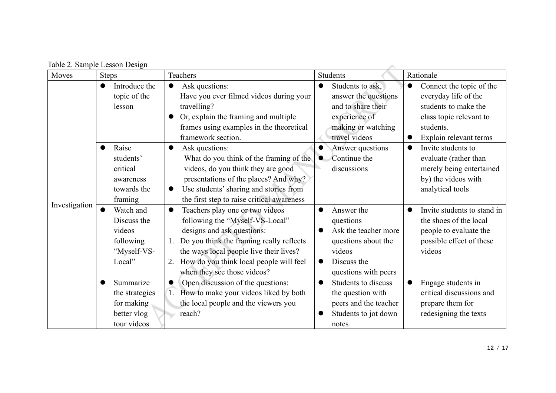|  | Table 2. Sample Lesson Design |  |  |
|--|-------------------------------|--|--|
|--|-------------------------------|--|--|

|               | Table 2. Sample Lesson Design                                            |                                                                                                                                                                                                                                                                                            |                                                                                                                                                   |                                                                                                                                                         |
|---------------|--------------------------------------------------------------------------|--------------------------------------------------------------------------------------------------------------------------------------------------------------------------------------------------------------------------------------------------------------------------------------------|---------------------------------------------------------------------------------------------------------------------------------------------------|---------------------------------------------------------------------------------------------------------------------------------------------------------|
| Moves         | <b>Steps</b>                                                             | Teachers                                                                                                                                                                                                                                                                                   | Students                                                                                                                                          | Rationale                                                                                                                                               |
|               | Introduce the<br>$\bullet$<br>topic of the<br>lesson                     | Ask questions:<br>$\bullet$<br>Have you ever filmed videos during your<br>travelling?<br>Or, explain the framing and multiple<br>frames using examples in the theoretical<br>framework section.                                                                                            | Students to ask.<br>answer the questions<br>and to share their<br>experience of<br>making or watching<br>travel videos                            | Connect the topic of the<br>$\bullet$<br>everyday life of the<br>students to make the<br>class topic relevant to<br>students.<br>Explain relevant terms |
|               | Raise<br>students'<br>critical<br>awareness<br>towards the<br>framing    | Ask questions:<br>$\bullet$<br>What do you think of the framing of the<br>videos, do you think they are good<br>presentations of the places? And why?<br>Use students' sharing and stories from<br>$\bullet$<br>the first step to raise critical awareness                                 | Answer questions<br>$\bullet$<br>Continue the<br>$\bullet$<br>discussions                                                                         | Invite students to<br>evaluate (rather than<br>merely being entertained<br>by) the videos with<br>analytical tools                                      |
| Investigation | Watch and<br>Discuss the<br>videos<br>following<br>"Myself-VS-<br>Local" | Teachers play one or two videos<br>$\bullet$<br>following the "Myself-VS-Local"<br>designs and ask questions:<br>Do you think the framing really reflects<br>1.<br>the ways local people live their lives?<br>How do you think local people will feel<br>2.<br>when they see those videos? | Answer the<br>$\bullet$<br>questions<br>Ask the teacher more<br>questions about the<br>videos<br>Discuss the<br>$\bullet$<br>questions with peers | Invite students to stand in<br>the shoes of the local<br>people to evaluate the<br>possible effect of these<br>videos                                   |
|               | Summarize<br>the strategies<br>for making<br>better vlog<br>tour videos  | Open discussion of the questions:<br>$\bullet$<br>How to make your videos liked by both<br>the local people and the viewers you<br>reach?                                                                                                                                                  | Students to discuss<br>$\bullet$<br>the question with<br>peers and the teacher<br>Students to jot down<br>notes                                   | Engage students in<br>critical discussions and<br>prepare them for<br>redesigning the texts                                                             |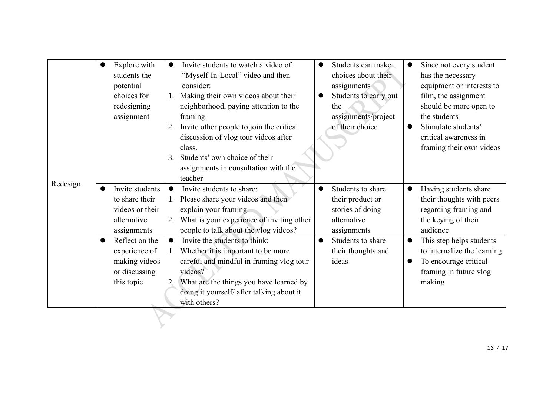| Explore with<br>students the<br>potential<br>choices for<br>redesigning<br>assignment                                                                                             | Invite students to watch a video of<br>$\bullet$<br>"Myself-In-Local" video and then<br>consider:<br>Making their own videos about their<br>1.<br>neighborhood, paying attention to the<br>framing.<br>Invite other people to join the critical<br>2.<br>discussion of vlog tour videos after<br>class.<br>Students' own choice of their<br>3.<br>assignments in consultation with the<br>teacher                                                            | Students can make<br>$\bullet$<br>choices about their<br>assignments<br>Students to carry out<br>$\bullet$<br>the<br>assignments/project<br>of their choice           | Since not every student<br>has the necessary<br>equipment or interests to<br>film, the assignment<br>should be more open to<br>the students<br>Stimulate students'<br>critical awareness in<br>framing their own videos                |
|-----------------------------------------------------------------------------------------------------------------------------------------------------------------------------------|--------------------------------------------------------------------------------------------------------------------------------------------------------------------------------------------------------------------------------------------------------------------------------------------------------------------------------------------------------------------------------------------------------------------------------------------------------------|-----------------------------------------------------------------------------------------------------------------------------------------------------------------------|----------------------------------------------------------------------------------------------------------------------------------------------------------------------------------------------------------------------------------------|
| Redesign<br>Invite students<br>to share their<br>videos or their<br>alternative<br>assignments<br>Reflect on the<br>experience of<br>making videos<br>or discussing<br>this topic | Invite students to share:<br>$\bullet$<br>Please share your videos and then<br>explain your framing.<br>What is your experience of inviting other<br>2.<br>people to talk about the vlog videos?<br>Invite the students to think:<br>$\bullet$<br>1. Whether it is important to be more<br>careful and mindful in framing vlog tour<br>videos?<br>What are the things you have learned by<br>2.<br>doing it yourself/ after talking about it<br>with others? | Students to share<br>$\bullet$<br>their product or<br>stories of doing<br>alternative<br>assignments<br>Students to share<br>$\bullet$<br>their thoughts and<br>ideas | Having students share<br>their thoughts with peers<br>regarding framing and<br>the keying of their<br>audience<br>This step helps students<br>to internalize the learning<br>To encourage critical<br>framing in future vlog<br>making |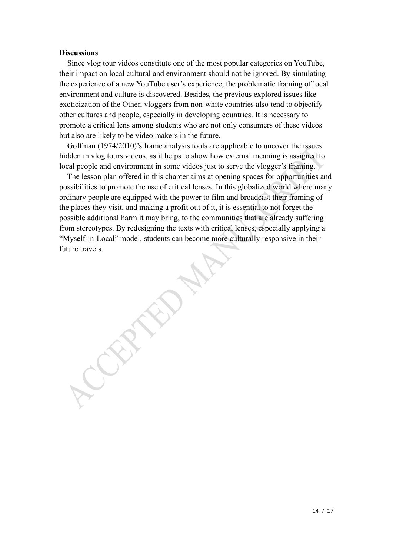## **Discussions**

 Since vlog tour videos constitute one of the most popular categories on YouTube, their impact on local cultural and environment should not be ignored. By simulating the experience of a new YouTube user's experience, the problematic framing of local environment and culture is discovered. Besides, the previous explored issues like exoticization of the Other, vloggers from non-white countries also tend to objectify other cultures and people, especially in developing countries. It is necessary to promote a critical lens among students who are not only consumers of these videos but also are likely to be video makers in the future.

Goffman (1974/2010)'s frame analysis tools are applicable to uncover the issues hidden in vlog tours videos, as it helps to show how external meaning is assigned to local people and environment in some videos just to serve the vlogger's framing.

The lesson plan offered in this chapter aims at opening spaces for opportunities and possibilities to promote the use of critical lenses. In this globalized world where many ordinary people are equipped with the power to film and broadcast their framing of the places they visit, and making a profit out of it, it is essential to not forget the possible additional harm it may bring, to the communities that are already suffering from stereotypes. By redesigning the texts with critical lenses, especially applying a "Myself-in-Local" model, students can become more culturally responsive in their future travels.

**14** / **17**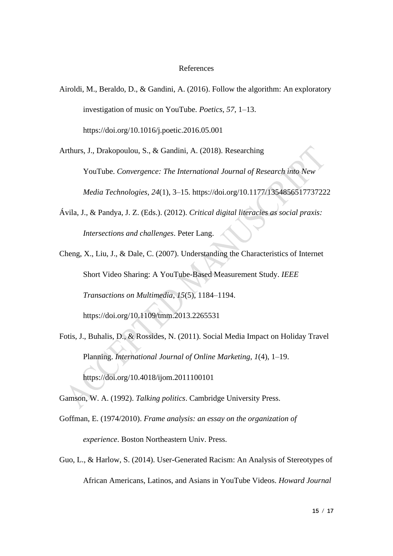#### References

Airoldi, M., Beraldo, D., & Gandini, A. (2016). Follow the algorithm: An exploratory investigation of music on YouTube. *Poetics*, *57*, 1–13. https://doi.org/10.1016/j.poetic.2016.05.001

Arthurs, J., Drakopoulou, S., & Gandini, A. (2018). Researching

YouTube. *Convergence: The International Journal of Research into New Media Technologies*, *24*(1), 3–15. https://doi.org/10.1177/1354856517737222

- Ávila, J., & Pandya, J. Z. (Eds.). (2012). *Critical digital literacies as social praxis: Intersections and challenges*. Peter Lang.
- Cheng, X., Liu, J., & Dale, C. (2007). Understanding the Characteristics of Internet Short Video Sharing: A YouTube-Based Measurement Study. *IEEE Transactions on Multimedia*, *15*(5), 1184–1194. https://doi.org/10.1109/tmm.2013.2265531
- Fotis, J., Buhalis, D., & Rossides, N. (2011). Social Media Impact on Holiday Travel Planning. *International Journal of Online Marketing*, *1*(4), 1–19. https://doi.org/10.4018/ijom.2011100101

Gamson, W. A. (1992). *Talking politics*. Cambridge University Press.

- Goffman, E. (1974/2010). *Frame analysis: an essay on the organization of experience*. Boston Northeastern Univ. Press.
- Guo, L., & Harlow, S. (2014). User-Generated Racism: An Analysis of Stereotypes of African Americans, Latinos, and Asians in YouTube Videos. *Howard Journal*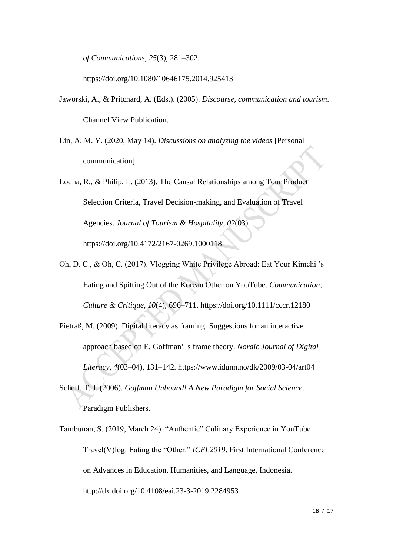*of Communications*, *25*(3), 281–302.

https://doi.org/10.1080/10646175.2014.925413

- Jaworski, A., & Pritchard, A. (Eds.). (2005). *Discourse, communication and tourism*. Channel View Publication.
- Lin, A. M. Y. (2020, May 14). *Discussions on analyzing the videos* [Personal communication].

Lodha, R., & Philip, L. (2013). The Causal Relationships among Tour Product Selection Criteria, Travel Decision-making, and Evaluation of Travel Agencies. *Journal of Tourism & Hospitality*, *02*(03). https://doi.org/10.4172/2167-0269.1000118

- Oh, D. C., & Oh, C. (2017). Vlogging White Privilege Abroad: Eat Your Kimchi 's Eating and Spitting Out of the Korean Other on YouTube. *Communication, Culture & Critique*, *10*(4), 696–711. https://doi.org/10.1111/cccr.12180
- Pietraß, M. (2009). Digital literacy as framing: Suggestions for an interactive approach based on E. Goffman' s frame theory. *Nordic Journal of Digital Literacy*, *4*(03–04), 131–142. https://www.idunn.no/dk/2009/03-04/art04
- Scheff, T. J. (2006). *Goffman Unbound! A New Paradigm for Social Science*. Paradigm Publishers.
- Tambunan, S. (2019, March 24). "Authentic" Culinary Experience in YouTube Travel(V)log: Eating the "Other." *ICEL2019*. First International Conference on Advances in Education, Humanities, and Language, Indonesia. http://dx.doi.org/10.4108/eai.23-3-2019.2284953